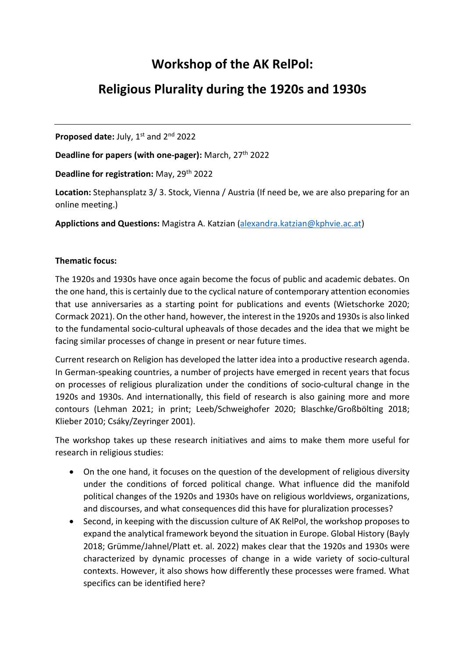## Workshop of the AK RelPol:

## Religious Plurality during the 1920s and 1930s

Proposed date: July, 1<sup>st</sup> and 2<sup>nd</sup> 2022

Deadline for papers (with one-pager): March, 27<sup>th</sup> 2022

Deadline for registration: May, 29th 2022

Location: Stephansplatz 3/3. Stock, Vienna / Austria (If need be, we are also preparing for an online meeting.)

Applictions and Questions: Magistra A. Katzian (alexandra.katzian@kphvie.ac.at)

## Thematic focus:

The 1920s and 1930s have once again become the focus of public and academic debates. On the one hand, this is certainly due to the cyclical nature of contemporary attention economies that use anniversaries as a starting point for publications and events (Wietschorke 2020; Cormack 2021). On the other hand, however, the interest in the 1920s and 1930s is also linked to the fundamental socio-cultural upheavals of those decades and the idea that we might be facing similar processes of change in present or near future times.

Current research on Religion has developed the latter idea into a productive research agenda. In German-speaking countries, a number of projects have emerged in recent years that focus on processes of religious pluralization under the conditions of socio-cultural change in the 1920s and 1930s. And internationally, this field of research is also gaining more and more contours (Lehman 2021; in print; Leeb/Schweighofer 2020; Blaschke/Großbölting 2018; Klieber 2010; Csáky/Zeyringer 2001).

The workshop takes up these research initiatives and aims to make them more useful for research in religious studies:

- On the one hand, it focuses on the question of the development of religious diversity under the conditions of forced political change. What influence did the manifold political changes of the 1920s and 1930s have on religious worldviews, organizations, and discourses, and what consequences did this have for pluralization processes?
- Second, in keeping with the discussion culture of AK RelPol, the workshop proposes to expand the analytical framework beyond the situation in Europe. Global History (Bayly 2018; Grümme/Jahnel/Platt et. al. 2022) makes clear that the 1920s and 1930s were characterized by dynamic processes of change in a wide variety of socio-cultural contexts. However, it also shows how differently these processes were framed. What specifics can be identified here?